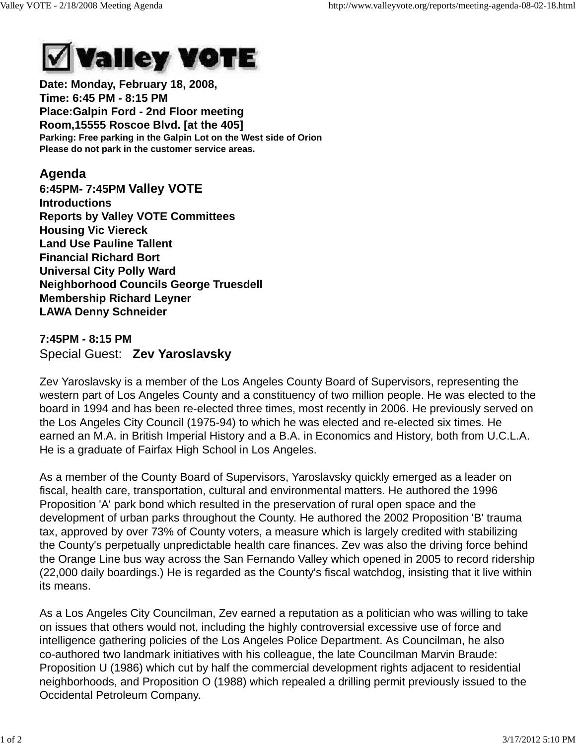

**Date: Monday, February 18, 2008, Time: 6:45 PM - 8:15 PM Place:Galpin Ford - 2nd Floor meeting Room,15555 Roscoe Blvd. [at the 405] Parking: Free parking in the Galpin Lot on the West side of Orion Please do not park in the customer service areas.**

## **Agenda**

**6:45PM- 7:45PM Valley VOTE Introductions Reports by Valley VOTE Committees Housing Vic Viereck Land Use Pauline Tallent Financial Richard Bort Universal City Polly Ward Neighborhood Councils George Truesdell Membership Richard Leyner LAWA Denny Schneider**

## **7:45PM - 8:15 PM** Special Guest: **Zev Yaroslavsky**

Zev Yaroslavsky is a member of the Los Angeles County Board of Supervisors, representing the western part of Los Angeles County and a constituency of two million people. He was elected to the board in 1994 and has been re-elected three times, most recently in 2006. He previously served on the Los Angeles City Council (1975-94) to which he was elected and re-elected six times. He earned an M.A. in British Imperial History and a B.A. in Economics and History, both from U.C.L.A. He is a graduate of Fairfax High School in Los Angeles.

As a member of the County Board of Supervisors, Yaroslavsky quickly emerged as a leader on fiscal, health care, transportation, cultural and environmental matters. He authored the 1996 Proposition 'A' park bond which resulted in the preservation of rural open space and the development of urban parks throughout the County. He authored the 2002 Proposition 'B' trauma tax, approved by over 73% of County voters, a measure which is largely credited with stabilizing the County's perpetually unpredictable health care finances. Zev was also the driving force behind the Orange Line bus way across the San Fernando Valley which opened in 2005 to record ridership (22,000 daily boardings.) He is regarded as the County's fiscal watchdog, insisting that it live within its means.

As a Los Angeles City Councilman, Zev earned a reputation as a politician who was willing to take on issues that others would not, including the highly controversial excessive use of force and intelligence gathering policies of the Los Angeles Police Department. As Councilman, he also co-authored two landmark initiatives with his colleague, the late Councilman Marvin Braude: Proposition U (1986) which cut by half the commercial development rights adjacent to residential neighborhoods, and Proposition O (1988) which repealed a drilling permit previously issued to the Occidental Petroleum Company.